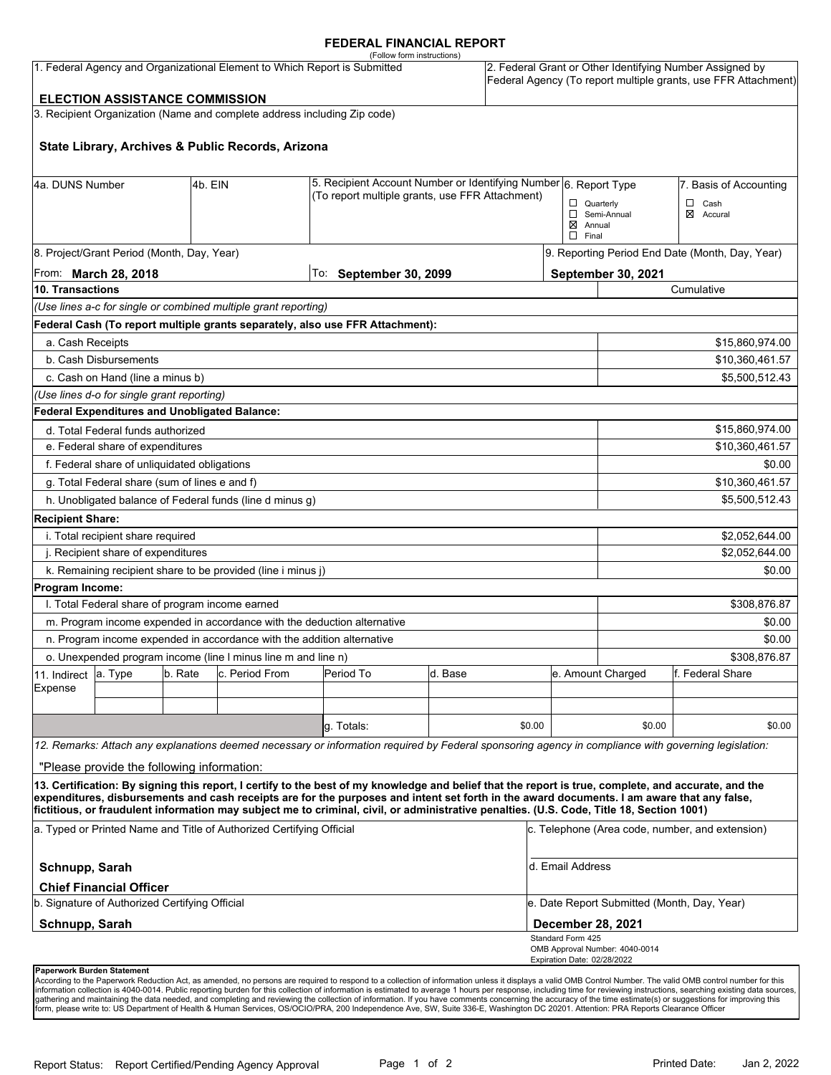### **FEDERAL FINANCIAL REPORT**

|                                                                      |                                                      |         | 1. Federal Agency and Organizational Element to Which Report is Submitted | (Follow form instructions)                                                                                                                                                                                                                                                              |         |                                                                                                   |                                                 |                                | 2. Federal Grant or Other Identifying Number Assigned by<br>Federal Agency (To report multiple grants, use FFR Attachment) |  |  |
|----------------------------------------------------------------------|------------------------------------------------------|---------|---------------------------------------------------------------------------|-----------------------------------------------------------------------------------------------------------------------------------------------------------------------------------------------------------------------------------------------------------------------------------------|---------|---------------------------------------------------------------------------------------------------|-------------------------------------------------|--------------------------------|----------------------------------------------------------------------------------------------------------------------------|--|--|
|                                                                      | <b>ELECTION ASSISTANCE COMMISSION</b>                |         |                                                                           |                                                                                                                                                                                                                                                                                         |         |                                                                                                   |                                                 |                                |                                                                                                                            |  |  |
|                                                                      |                                                      |         | 3. Recipient Organization (Name and complete address including Zip code)  |                                                                                                                                                                                                                                                                                         |         |                                                                                                   |                                                 |                                |                                                                                                                            |  |  |
|                                                                      |                                                      |         | State Library, Archives & Public Records, Arizona                         |                                                                                                                                                                                                                                                                                         |         |                                                                                                   |                                                 |                                |                                                                                                                            |  |  |
| 4a. DUNS Number                                                      |                                                      | 4b. EIN |                                                                           | 5. Recipient Account Number or Identifying Number 6. Report Type                                                                                                                                                                                                                        |         |                                                                                                   |                                                 | 7. Basis of Accounting         |                                                                                                                            |  |  |
|                                                                      |                                                      |         |                                                                           | (To report multiple grants, use FFR Attachment)                                                                                                                                                                                                                                         |         | $\Box$ Quarterly<br>$\Box$ Cash<br>Semi-Annual<br>⊠ Accural<br>$\boxtimes$ Annual<br>$\Box$ Final |                                                 |                                |                                                                                                                            |  |  |
|                                                                      | 8. Project/Grant Period (Month, Day, Year)           |         |                                                                           |                                                                                                                                                                                                                                                                                         |         |                                                                                                   |                                                 |                                | 9. Reporting Period End Date (Month, Day, Year)                                                                            |  |  |
|                                                                      | From: <b>March 28, 2018</b>                          |         |                                                                           | To: September 30, 2099                                                                                                                                                                                                                                                                  |         |                                                                                                   | <b>September 30, 2021</b>                       |                                |                                                                                                                            |  |  |
| 10. Transactions                                                     |                                                      |         |                                                                           |                                                                                                                                                                                                                                                                                         |         |                                                                                                   | Cumulative                                      |                                |                                                                                                                            |  |  |
|                                                                      |                                                      |         | (Use lines a-c for single or combined multiple grant reporting)           |                                                                                                                                                                                                                                                                                         |         |                                                                                                   |                                                 |                                |                                                                                                                            |  |  |
|                                                                      |                                                      |         |                                                                           | Federal Cash (To report multiple grants separately, also use FFR Attachment):                                                                                                                                                                                                           |         |                                                                                                   |                                                 |                                |                                                                                                                            |  |  |
| a. Cash Receipts                                                     |                                                      |         |                                                                           |                                                                                                                                                                                                                                                                                         |         |                                                                                                   |                                                 |                                | \$15,860,974.00                                                                                                            |  |  |
|                                                                      | b. Cash Disbursements                                |         |                                                                           |                                                                                                                                                                                                                                                                                         |         |                                                                                                   |                                                 |                                | \$10,360,461.57                                                                                                            |  |  |
|                                                                      | c. Cash on Hand (line a minus b)                     |         |                                                                           |                                                                                                                                                                                                                                                                                         |         |                                                                                                   |                                                 |                                | \$5,500,512.43                                                                                                             |  |  |
|                                                                      | (Use lines d-o for single grant reporting)           |         |                                                                           |                                                                                                                                                                                                                                                                                         |         |                                                                                                   |                                                 |                                |                                                                                                                            |  |  |
|                                                                      | <b>Federal Expenditures and Unobligated Balance:</b> |         |                                                                           |                                                                                                                                                                                                                                                                                         |         |                                                                                                   |                                                 |                                |                                                                                                                            |  |  |
|                                                                      | d. Total Federal funds authorized                    |         |                                                                           |                                                                                                                                                                                                                                                                                         |         |                                                                                                   |                                                 |                                | \$15,860,974.00                                                                                                            |  |  |
|                                                                      | e. Federal share of expenditures                     |         |                                                                           |                                                                                                                                                                                                                                                                                         |         |                                                                                                   |                                                 |                                | \$10,360,461.57                                                                                                            |  |  |
|                                                                      | f. Federal share of unliquidated obligations         |         |                                                                           |                                                                                                                                                                                                                                                                                         |         |                                                                                                   |                                                 |                                | \$0.00                                                                                                                     |  |  |
|                                                                      | g. Total Federal share (sum of lines e and f)        |         |                                                                           |                                                                                                                                                                                                                                                                                         |         |                                                                                                   |                                                 | \$10,360,461.57                |                                                                                                                            |  |  |
|                                                                      |                                                      |         | h. Unobligated balance of Federal funds (line d minus g)                  |                                                                                                                                                                                                                                                                                         |         |                                                                                                   |                                                 |                                | \$5,500,512.43                                                                                                             |  |  |
| <b>Recipient Share:</b>                                              |                                                      |         |                                                                           |                                                                                                                                                                                                                                                                                         |         |                                                                                                   |                                                 |                                |                                                                                                                            |  |  |
|                                                                      | i. Total recipient share required                    |         |                                                                           |                                                                                                                                                                                                                                                                                         |         |                                                                                                   |                                                 |                                | \$2,052,644.00                                                                                                             |  |  |
|                                                                      | j. Recipient share of expenditures                   |         |                                                                           |                                                                                                                                                                                                                                                                                         |         |                                                                                                   |                                                 | \$2,052,644.00                 |                                                                                                                            |  |  |
|                                                                      |                                                      |         | k. Remaining recipient share to be provided (line i minus j)              |                                                                                                                                                                                                                                                                                         |         |                                                                                                   |                                                 |                                | \$0.00                                                                                                                     |  |  |
| Program Income:                                                      |                                                      |         |                                                                           |                                                                                                                                                                                                                                                                                         |         |                                                                                                   |                                                 |                                |                                                                                                                            |  |  |
|                                                                      | I. Total Federal share of program income earned      |         |                                                                           |                                                                                                                                                                                                                                                                                         |         |                                                                                                   |                                                 |                                | \$308,876.87                                                                                                               |  |  |
|                                                                      |                                                      |         | m. Program income expended in accordance with the deduction alternative   |                                                                                                                                                                                                                                                                                         |         |                                                                                                   |                                                 |                                | \$0.00                                                                                                                     |  |  |
|                                                                      |                                                      |         | n. Program income expended in accordance with the addition alternative    |                                                                                                                                                                                                                                                                                         |         |                                                                                                   |                                                 |                                | \$0.00                                                                                                                     |  |  |
|                                                                      |                                                      |         | o. Unexpended program income (line I minus line m and line n)             |                                                                                                                                                                                                                                                                                         |         |                                                                                                   |                                                 |                                | \$308,876.87                                                                                                               |  |  |
| 11. Indirect                                                         | a. Type                                              | b. Rate | c. Period From                                                            | Period To                                                                                                                                                                                                                                                                               | d. Base |                                                                                                   |                                                 | e. Amount Charged              | f. Federal Share                                                                                                           |  |  |
| Expense                                                              |                                                      |         |                                                                           |                                                                                                                                                                                                                                                                                         |         |                                                                                                   |                                                 |                                |                                                                                                                            |  |  |
|                                                                      |                                                      |         |                                                                           |                                                                                                                                                                                                                                                                                         |         |                                                                                                   |                                                 |                                |                                                                                                                            |  |  |
|                                                                      |                                                      |         |                                                                           | g. Totals:                                                                                                                                                                                                                                                                              |         | \$0.00                                                                                            |                                                 | \$0.00                         | \$0.00                                                                                                                     |  |  |
|                                                                      |                                                      |         |                                                                           | 12. Remarks: Attach any explanations deemed necessary or information required by Federal sponsoring agency in compliance with governing legislation:                                                                                                                                    |         |                                                                                                   |                                                 |                                |                                                                                                                            |  |  |
|                                                                      | "Please provide the following information:           |         |                                                                           |                                                                                                                                                                                                                                                                                         |         |                                                                                                   |                                                 |                                |                                                                                                                            |  |  |
|                                                                      |                                                      |         |                                                                           | 13. Certification: By signing this report, I certify to the best of my knowledge and belief that the report is true, complete, and accurate, and the                                                                                                                                    |         |                                                                                                   |                                                 |                                |                                                                                                                            |  |  |
|                                                                      |                                                      |         |                                                                           | expenditures, disbursements and cash receipts are for the purposes and intent set forth in the award documents. I am aware that any false,<br>fictitious, or fraudulent information may subject me to criminal, civil, or administrative penalties. (U.S. Code, Title 18, Section 1001) |         |                                                                                                   |                                                 |                                |                                                                                                                            |  |  |
| a. Typed or Printed Name and Title of Authorized Certifying Official |                                                      |         |                                                                           |                                                                                                                                                                                                                                                                                         |         |                                                                                                   | c. Telephone (Area code, number, and extension) |                                |                                                                                                                            |  |  |
| Schnupp, Sarah                                                       |                                                      |         |                                                                           |                                                                                                                                                                                                                                                                                         |         |                                                                                                   | d. Email Address                                |                                |                                                                                                                            |  |  |
|                                                                      | <b>Chief Financial Officer</b>                       |         |                                                                           |                                                                                                                                                                                                                                                                                         |         |                                                                                                   |                                                 |                                |                                                                                                                            |  |  |
| b. Signature of Authorized Certifying Official                       |                                                      |         |                                                                           |                                                                                                                                                                                                                                                                                         |         |                                                                                                   | e. Date Report Submitted (Month, Day, Year)     |                                |                                                                                                                            |  |  |
| Schnupp, Sarah                                                       |                                                      |         |                                                                           |                                                                                                                                                                                                                                                                                         |         |                                                                                                   | <b>December 28, 2021</b><br>Standard Form 425   |                                |                                                                                                                            |  |  |
|                                                                      |                                                      |         |                                                                           |                                                                                                                                                                                                                                                                                         |         |                                                                                                   |                                                 | OMB Approval Number: 4040-0014 |                                                                                                                            |  |  |
| <b>Panerwork Burden Statement</b>                                    |                                                      |         |                                                                           |                                                                                                                                                                                                                                                                                         |         |                                                                                                   | Expiration Date: 02/28/2022                     |                                |                                                                                                                            |  |  |

**Paperwork Burden Statement**<br>According to the Paperwork Reduction Act, as amended, no persons are required to respond to a collection of information unless it displays a valid OMB Control Number. The valid OMB control numb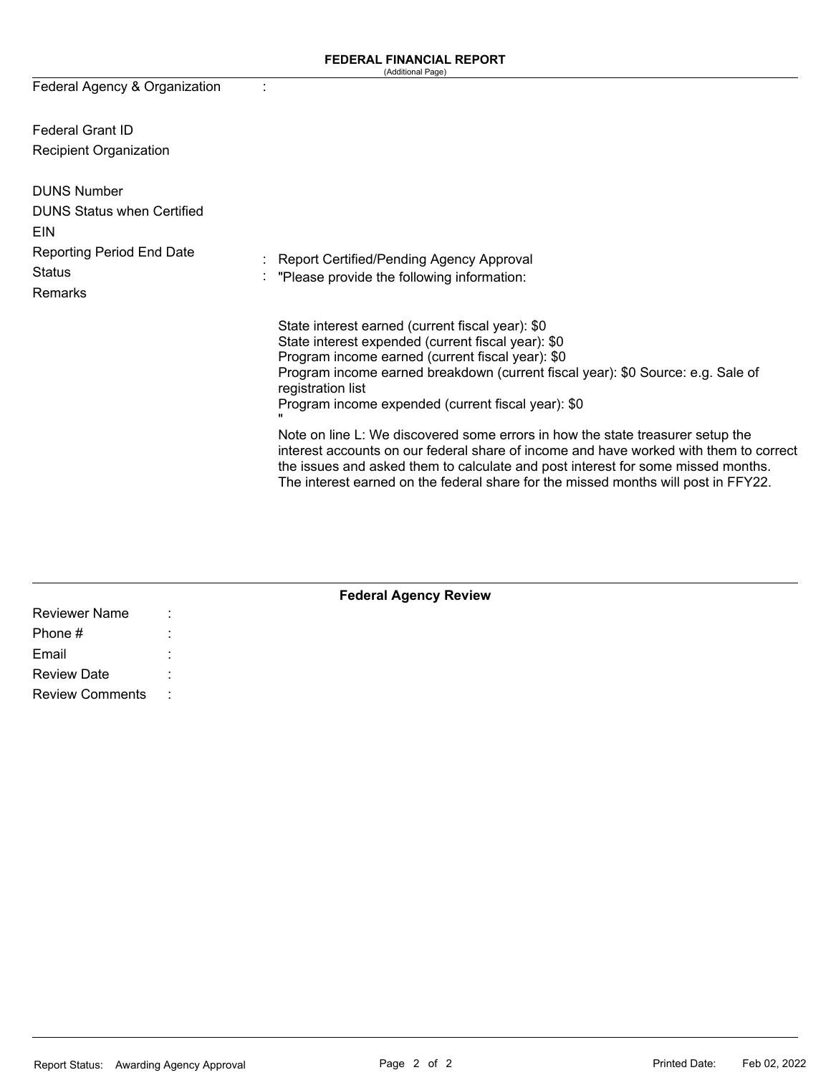Federal Agency & Organization

:

Federal Grant ID Recipient Organization

| <b>DUNS Number</b><br><b>DUNS Status when Certified</b><br><b>EIN</b><br><b>Reporting Period End Date</b><br><b>Status</b><br><b>Remarks</b> | : Report Certified/Pending Agency Approval<br>: "Please provide the following information:                                                                                                                                                                                                                                                        |
|----------------------------------------------------------------------------------------------------------------------------------------------|---------------------------------------------------------------------------------------------------------------------------------------------------------------------------------------------------------------------------------------------------------------------------------------------------------------------------------------------------|
|                                                                                                                                              | State interest earned (current fiscal year): \$0<br>State interest expended (current fiscal year): \$0<br>Program income earned (current fiscal year): \$0<br>Program income earned breakdown (current fiscal year): \$0 Source: e.g. Sale of<br>registration list<br>Program income expended (current fiscal year): \$0                          |
|                                                                                                                                              | Note on line L: We discovered some errors in how the state treasurer setup the<br>interest accounts on our federal share of income and have worked with them to correct<br>the issues and asked them to calculate and post interest for some missed months.<br>The interest earned on the federal share for the missed months will post in FFY22. |

| <b>Federal Agency Review</b> |                                |  |  |  |  |  |  |
|------------------------------|--------------------------------|--|--|--|--|--|--|
| <b>Reviewer Name</b>         | ٠.<br>$\overline{\phantom{a}}$ |  |  |  |  |  |  |
| Phone #                      |                                |  |  |  |  |  |  |
| Email                        |                                |  |  |  |  |  |  |
| <b>Review Date</b>           |                                |  |  |  |  |  |  |
| <b>Review Comments</b>       | - 11                           |  |  |  |  |  |  |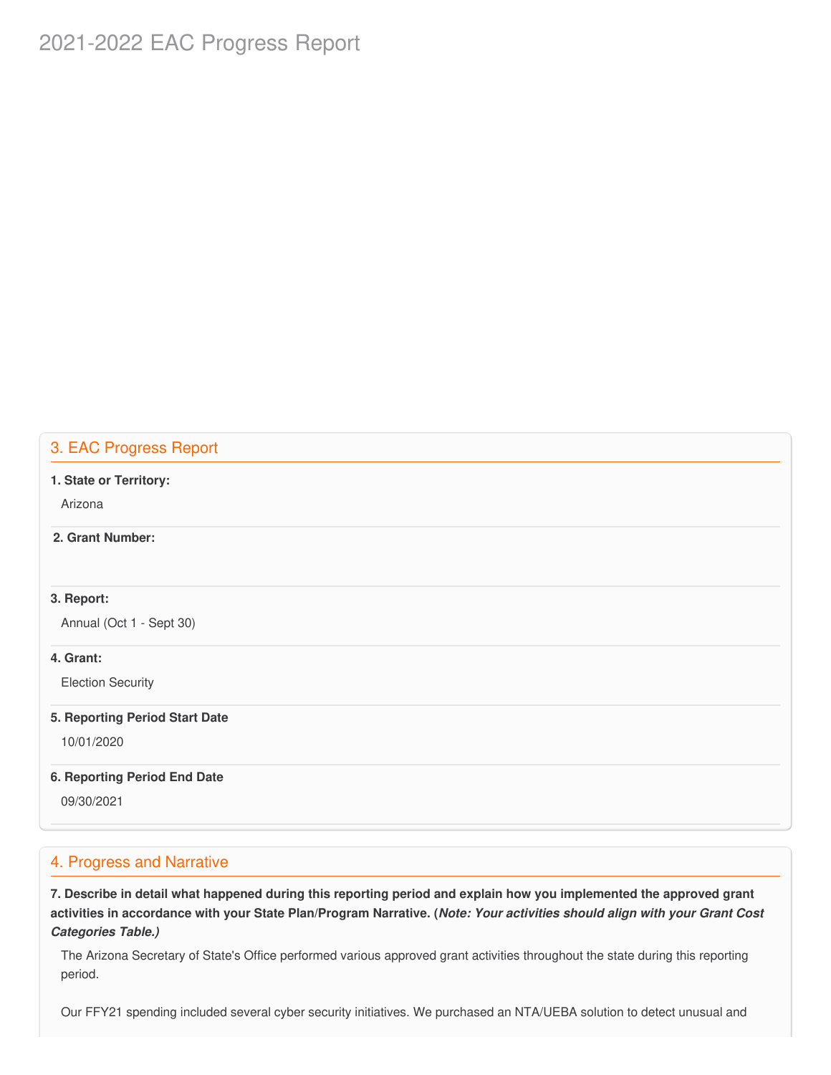# 2021-2022 EAC Progress Report

# 3. EAC Progress Report

### **1. State or Territory:**

Arizona

# **2. Grant Number:**

### **3. Report:**

Annual (Oct 1 - Sept 30)

## **4. Grant:**

Election Security

#### **5. Reporting Period Start Date**

10/01/2020

### **6. Reporting Period End Date**

09/30/2021

# 4. Progress and Narrative

7. Describe in detail what happened during this reporting period and explain how you implemented the approved grant activities in accordance with your State Plan/Program Narrative. (*Note: Your activities should align with your Grant Cost Categories Table.)*

 The Arizona Secretary of State's Office performed various approved grant activities throughout the state during this reporting period.

Our FFY21 spending included several cyber security initiatives. We purchased an NTA/UEBA solution to detect unusual and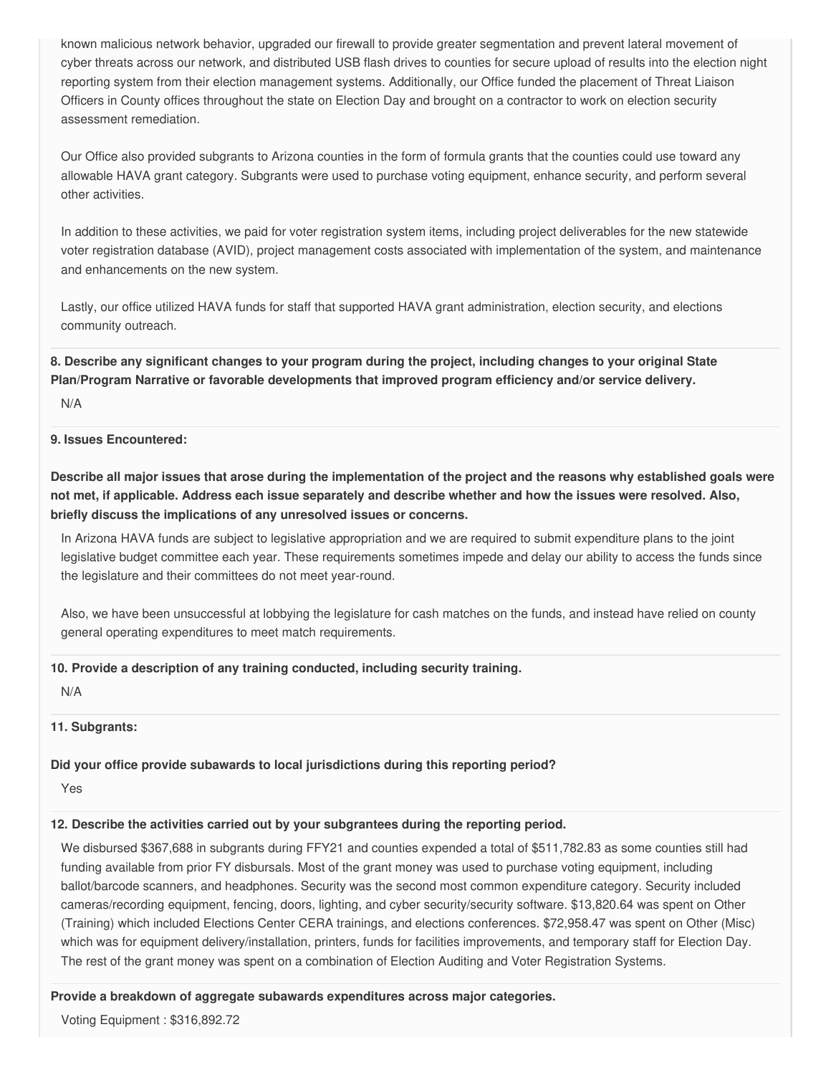known malicious network behavior, upgraded our firewall to provide greater segmentation and prevent lateral movement of cyber threats across our network, and distributed USB flash drives to counties for secure upload of results into the election night reporting system from their election management systems. Additionally, our Office funded the placement of Threat Liaison Officers in County offices throughout the state on Election Day and brought on a contractor to work on election security assessment remediation.

 Our Office also provided subgrants to Arizona counties in the form of formula grants that the counties could use toward any allowable HAVA grant category. Subgrants were used to purchase voting equipment, enhance security, and perform several other activities.

 In addition to these activities, we paid for voter registration system items, including project deliverables for the new statewide voter registration database (AVID), project management costs associated with implementation of the system, and maintenance and enhancements on the new system.

 Lastly, our office utilized HAVA funds for staff that supported HAVA grant administration, election security, and elections community outreach.

8. Describe any significant changes to your program during the project, including changes to your original State  **Plan/Program Narrative or favorable developments that improved program efficiency and/or service delivery.**

N/A

### **9. Issues Encountered:**

Describe all major issues that arose during the implementation of the project and the reasons why established goals were not met, if applicable. Address each issue separately and describe whether and how the issues were resolved. Also,  **briefly discuss the implications of any unresolved issues or concerns.**

 In Arizona HAVA funds are subject to legislative appropriation and we are required to submit expenditure plans to the joint legislative budget committee each year. These requirements sometimes impede and delay our ability to access the funds since the legislature and their committees do not meet year-round.

 Also, we have been unsuccessful at lobbying the legislature for cash matches on the funds, and instead have relied on county general operating expenditures to meet match requirements.

### **10. Provide a description of any training conducted, including security training.**

N/A

#### **11. Subgrants:**

#### **Did your office provide subawards to local jurisdictions during this reporting period?**

Yes

#### **12. Describe the activities carried out by your subgrantees during the reporting period.**

 We disbursed \$367,688 in subgrants during FFY21 and counties expended a total of \$[511,782.83](https://511,782.83) as some counties still had funding available from prior FY disbursals. Most of the grant money was used to purchase voting equipment, including ballot/barcode scanners, and headphones. Security was the second most common expenditure category. Security included cameras/recording equipment, fencing, doors, lighting, and cyber security/security software. \$[13,820.64](https://13,820.64) was spent on Other (Training) which included Elections Center CERA trainings, and elections conferences. [\\$72,958.47](https://72,958.47) was spent on Other (Misc) which was for equipment delivery/installation, printers, funds for facilities improvements, and temporary staff for Election Day. The rest of the grant money was spent on a combination of Election Auditing and Voter Registration Systems.

#### **Provide a breakdown of aggregate subawards expenditures across major categories.**

Voting Equipment : [\\$316,892.72](https://316,892.72)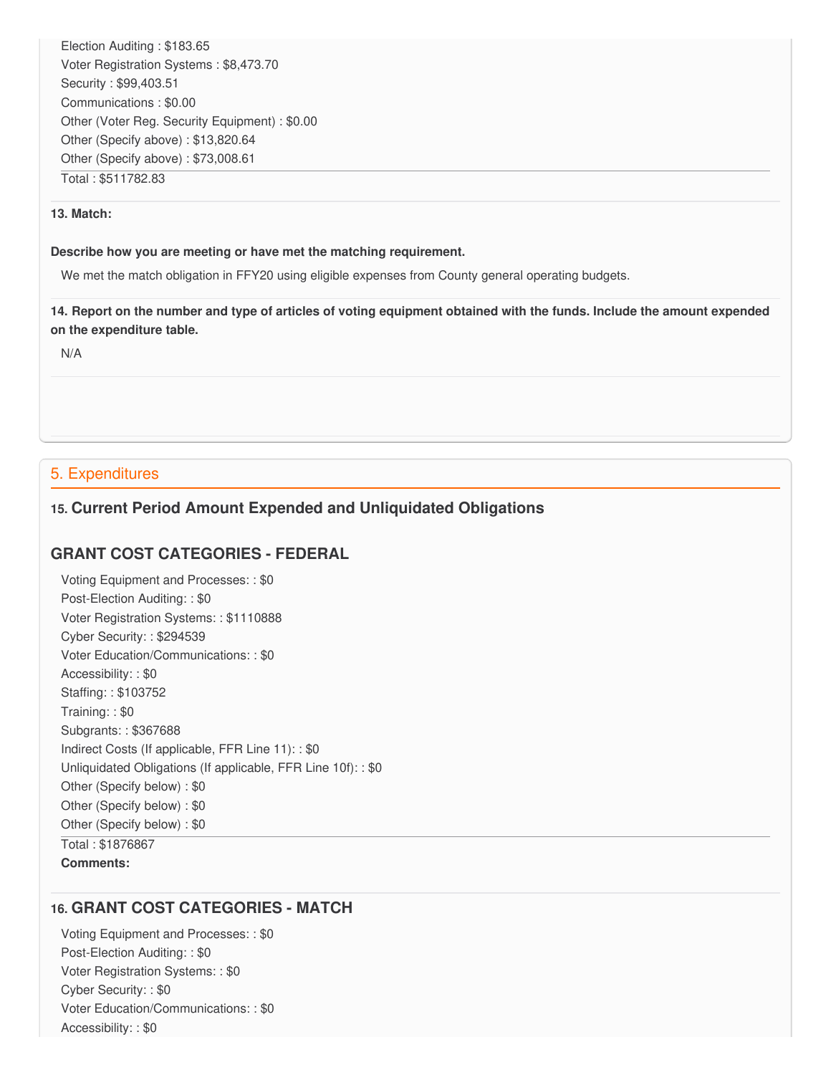Election Auditing : \$183.65 Voter Registration Systems : [\\$8,473.70](https://8,473.70) Security : \$[99,403.51](https://99,403.51) Communications : \$0.00 Other (Voter Reg. Security Equipment) : \$0.00 Other (Specify above) : [\\$13,820.64](https://13,820.64) Other (Specify above) : [\\$73,008.61](https://73,008.61) Total : [\\$511782.83](https://511782.83)

#### **13. Match:**

#### **Describe how you are meeting or have met the matching requirement.**

We met the match obligation in FFY20 using eligible expenses from County general operating budgets.

14. Report on the number and type of articles of voting equipment obtained with the funds. Include the amount expended  **on the expenditure table.**

N/A

# 5. Expenditures

### **15. Current Period Amount Expended and Unliquidated Obligations**

## **GRANT COST CATEGORIES - FEDERAL**

 Voting Equipment and Processes: : \$0 Post-Election Auditing: : \$0 Voter Registration Systems: : \$1110888 Cyber Security: : \$294539 Voter Education/Communications: : \$0 Accessibility: : \$0 Staffing: : \$103752 Training: : \$0 Subgrants: : \$367688 Indirect Costs (If applicable, FFR Line 11): : \$0 Unliquidated Obligations (If applicable, FFR Line 10f): : \$0 Other (Specify below) : \$0 Other (Specify below) : \$0 Other (Specify below) : \$0 Total : \$1876867 **Comments:**

# **16. GRANT COST CATEGORIES - MATCH**

 Voting Equipment and Processes: : \$0 Post-Election Auditing: : \$0 Voter Registration Systems: : \$0 Cyber Security: : \$0 Voter Education/Communications: : \$0 Accessibility: : \$0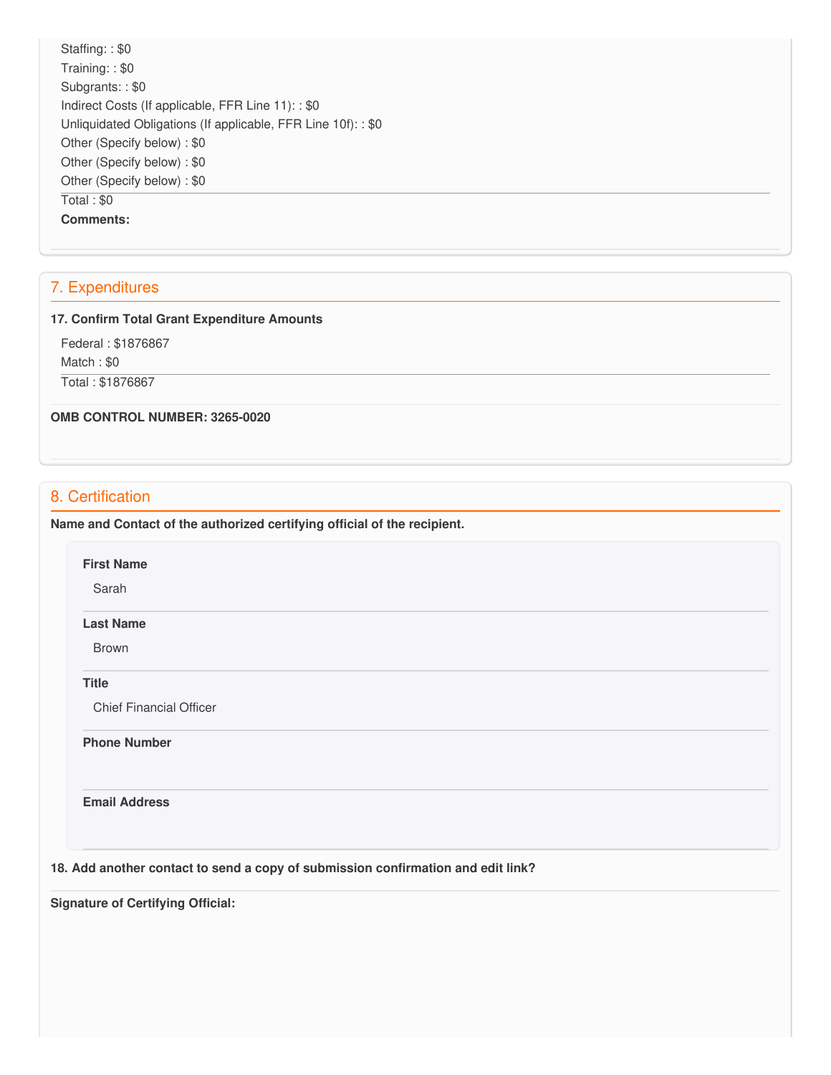Staffing: : \$0 Training: : \$0 Subgrants: : \$0 Indirect Costs (If applicable, FFR Line 11): : \$0 Unliquidated Obligations (If applicable, FFR Line 10f): : \$0 Other (Specify below) : \$0 Other (Specify below) : \$0 Other (Specify below) : \$0 Total : \$0 **Comments:**

# 7. Expenditures

#### **17. Confirm Total Grant Expenditure Amounts**

Federal : \$1876867

Match : \$0

Total : \$1876867

 **OMB CONTROL NUMBER: 3265-0020**

# 8. Certification

 **Name and Contact of the authorized certifying official of the recipient.**

**First Name**

Sarah

#### **Last Name**

Brown

**Title**

Chief Financial Officer

**Phone Number** 

**Email Address**

 **18. Add another contact to send a copy of submission confirmation and edit link?**

 **Signature of Certifying Official:**